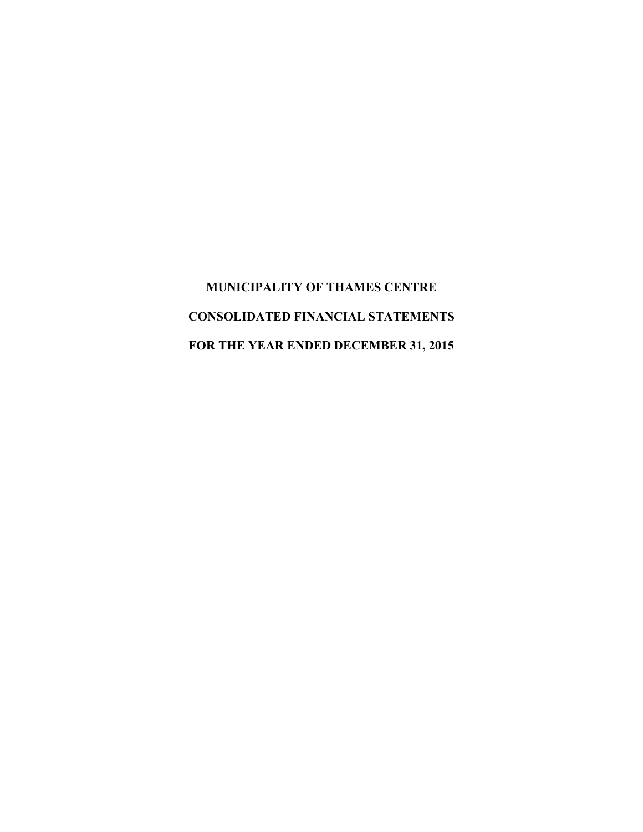**MUNICIPALITY OF THAMES CENTRE CONSOLIDATED FINANCIAL STATEMENTS FOR THE YEAR ENDED DECEMBER 31, 2015**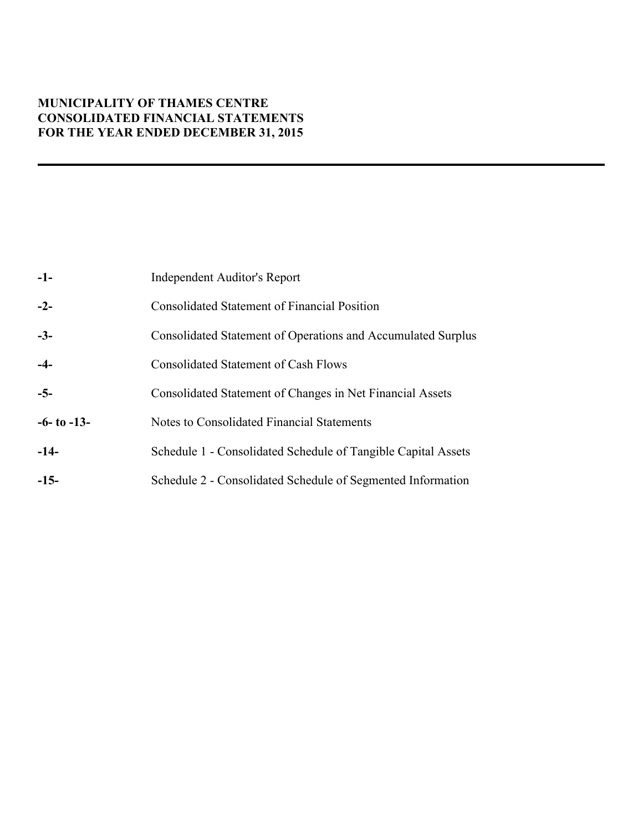# **MUNICIPALITY OF THAMES CENTRE CONSOLIDATED FINANCIAL STATEMENTS FOR THE YEAR ENDED DECEMBER 31, 2015**

| $-1-$             | Independent Auditor's Report                                  |
|-------------------|---------------------------------------------------------------|
| $-2-$             | Consolidated Statement of Financial Position                  |
| $-3-$             | Consolidated Statement of Operations and Accumulated Surplus  |
| $-4-$             | <b>Consolidated Statement of Cash Flows</b>                   |
| $-5-$             | Consolidated Statement of Changes in Net Financial Assets     |
| $-6$ - to $-13$ - | Notes to Consolidated Financial Statements                    |
| $-14-$            | Schedule 1 - Consolidated Schedule of Tangible Capital Assets |
| $-15-$            | Schedule 2 - Consolidated Schedule of Segmented Information   |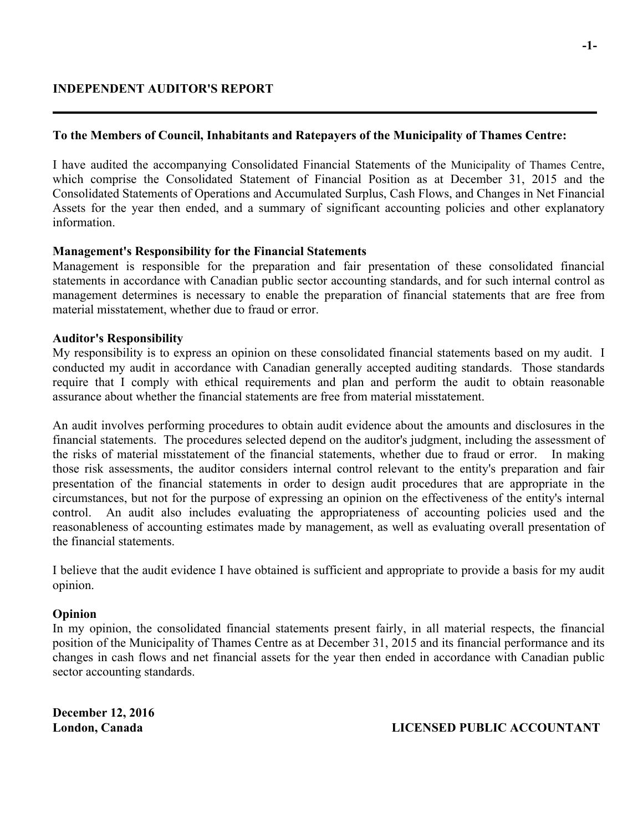## **To the Members of Council, Inhabitants and Ratepayers of the Municipality of Thames Centre:**

I have audited the accompanying Consolidated Financial Statements of the Municipality of Thames Centre, which comprise the Consolidated Statement of Financial Position as at December 31, 2015 and the Consolidated Statements of Operations and Accumulated Surplus, Cash Flows, and Changes in Net Financial Assets for the year then ended, and a summary of significant accounting policies and other explanatory information.

## **Management's Responsibility for the Financial Statements**

Management is responsible for the preparation and fair presentation of these consolidated financial statements in accordance with Canadian public sector accounting standards, and for such internal control as management determines is necessary to enable the preparation of financial statements that are free from material misstatement, whether due to fraud or error.

## **Auditor's Responsibility**

My responsibility is to express an opinion on these consolidated financial statements based on my audit. I conducted my audit in accordance with Canadian generally accepted auditing standards. Those standards require that I comply with ethical requirements and plan and perform the audit to obtain reasonable assurance about whether the financial statements are free from material misstatement.

An audit involves performing procedures to obtain audit evidence about the amounts and disclosures in the financial statements. The procedures selected depend on the auditor's judgment, including the assessment of the risks of material misstatement of the financial statements, whether due to fraud or error. In making those risk assessments, the auditor considers internal control relevant to the entity's preparation and fair presentation of the financial statements in order to design audit procedures that are appropriate in the circumstances, but not for the purpose of expressing an opinion on the effectiveness of the entity's internal control. An audit also includes evaluating the appropriateness of accounting policies used and the reasonableness of accounting estimates made by management, as well as evaluating overall presentation of the financial statements.

I believe that the audit evidence I have obtained is sufficient and appropriate to provide a basis for my audit opinion.

## **Opinion**

In my opinion, the consolidated financial statements present fairly, in all material respects, the financial position of the Municipality of Thames Centre as at December 31, 2015 and its financial performance and its changes in cash flows and net financial assets for the year then ended in accordance with Canadian public sector accounting standards.

**December 12, 2016**

**London, Canada LICENSED PUBLIC ACCOUNTANT**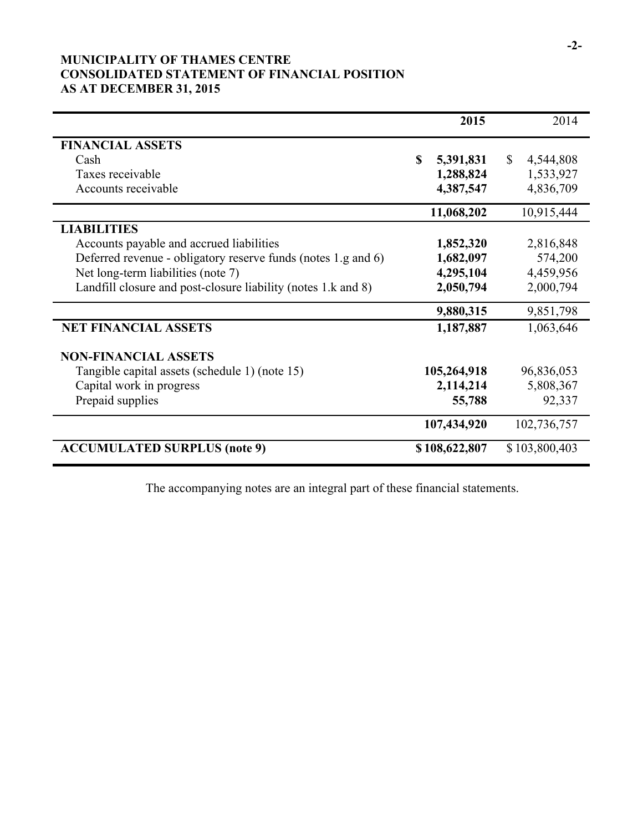# **MUNICIPALITY OF THAMES CENTRE CONSOLIDATED STATEMENT OF FINANCIAL POSITION AS AT DECEMBER 31, 2015**

|                                                               | 2015                  | 2014                      |
|---------------------------------------------------------------|-----------------------|---------------------------|
| <b>FINANCIAL ASSETS</b>                                       |                       |                           |
| Cash                                                          | <b>S</b><br>5,391,831 | $\mathbb{S}$<br>4,544,808 |
| Taxes receivable                                              | 1,288,824             | 1,533,927                 |
| Accounts receivable                                           | 4,387,547             | 4,836,709                 |
|                                                               | 11,068,202            | 10,915,444                |
| <b>LIABILITIES</b>                                            |                       |                           |
| Accounts payable and accrued liabilities                      | 1,852,320             | 2,816,848                 |
| Deferred revenue - obligatory reserve funds (notes 1.g and 6) | 1,682,097             | 574,200                   |
| Net long-term liabilities (note 7)                            | 4,295,104             | 4,459,956                 |
| Landfill closure and post-closure liability (notes 1.k and 8) | 2,050,794             | 2,000,794                 |
|                                                               | 9,880,315             | 9,851,798                 |
| <b>NET FINANCIAL ASSETS</b>                                   | 1,187,887             | 1,063,646                 |
| <b>NON-FINANCIAL ASSETS</b>                                   |                       |                           |
| Tangible capital assets (schedule 1) (note 15)                | 105,264,918           | 96,836,053                |
| Capital work in progress                                      | 2,114,214             | 5,808,367                 |
| Prepaid supplies                                              | 55,788                | 92,337                    |
|                                                               | 107,434,920           | 102,736,757               |
| <b>ACCUMULATED SURPLUS (note 9)</b>                           | \$108,622,807         | \$103,800,403             |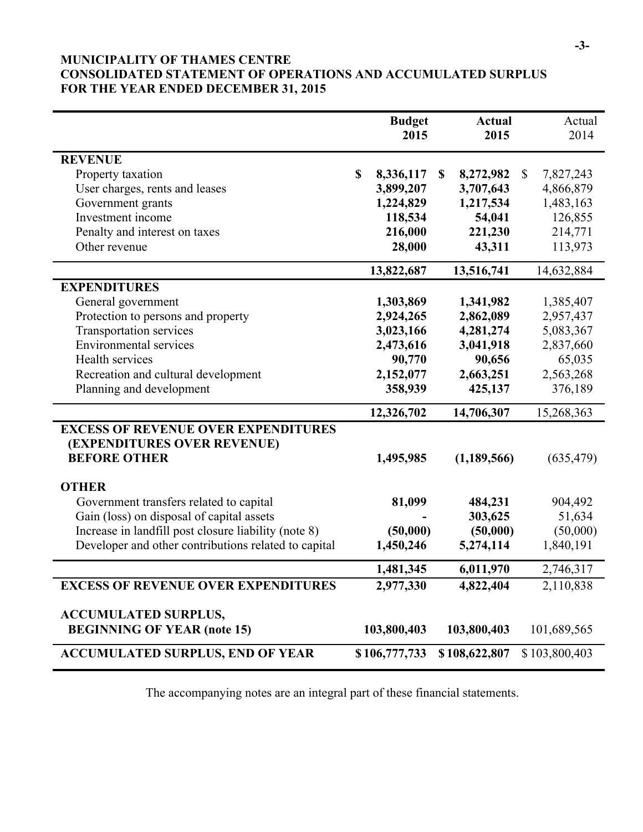# **MUNICIPALITY OF THAMES CENTRE CONSOLIDATED STATEMENT OF OPERATIONS AND ACCUMULATED SURPLUS FOR THE YEAR ENDED DECEMBER 31, 2015**

|                                                      |             | <b>Budget</b> | <b>Actual</b>   |               | Actual        |
|------------------------------------------------------|-------------|---------------|-----------------|---------------|---------------|
|                                                      |             | 2015          | 2015            |               | 2014          |
|                                                      |             |               |                 |               |               |
| <b>REVENUE</b>                                       |             |               |                 |               |               |
| Property taxation                                    | $\mathbf S$ | 8,336,117     | \$<br>8,272,982 | $\mathcal{S}$ | 7,827,243     |
| User charges, rents and leases                       |             | 3,899,207     | 3,707,643       |               | 4,866,879     |
| Government grants                                    |             | 1,224,829     | 1,217,534       |               | 1,483,163     |
| Investment income                                    |             | 118,534       | 54,041          |               | 126,855       |
| Penalty and interest on taxes                        |             | 216,000       | 221,230         |               | 214,771       |
| Other revenue                                        |             | 28,000        | 43,311          |               | 113,973       |
|                                                      |             |               |                 |               |               |
|                                                      |             | 13,822,687    | 13,516,741      |               | 14,632,884    |
| <b>EXPENDITURES</b>                                  |             |               |                 |               |               |
| General government                                   |             | 1,303,869     | 1,341,982       |               | 1,385,407     |
| Protection to persons and property                   |             | 2,924,265     | 2,862,089       |               | 2,957,437     |
| Transportation services                              |             | 3,023,166     | 4,281,274       |               | 5,083,367     |
| <b>Environmental services</b>                        |             | 2,473,616     | 3,041,918       |               | 2,837,660     |
| Health services                                      |             | 90,770        | 90,656          |               | 65,035        |
| Recreation and cultural development                  |             | 2,152,077     | 2,663,251       |               | 2,563,268     |
| Planning and development                             |             | 358,939       | 425,137         |               | 376,189       |
|                                                      |             | 12,326,702    | 14,706,307      |               | 15,268,363    |
| <b>EXCESS OF REVENUE OVER EXPENDITURES</b>           |             |               |                 |               |               |
| (EXPENDITURES OVER REVENUE)                          |             |               |                 |               |               |
| <b>BEFORE OTHER</b>                                  |             | 1,495,985     | (1, 189, 566)   |               | (635, 479)    |
|                                                      |             |               |                 |               |               |
| <b>OTHER</b>                                         |             |               |                 |               |               |
| Government transfers related to capital              |             | 81,099        | 484,231         |               | 904,492       |
| Gain (loss) on disposal of capital assets            |             |               | 303,625         |               | 51,634        |
| Increase in landfill post closure liability (note 8) |             | (50,000)      | (50,000)        |               | (50,000)      |
| Developer and other contributions related to capital |             | 1,450,246     | 5,274,114       |               | 1,840,191     |
|                                                      |             |               |                 |               |               |
|                                                      |             | 1,481,345     | 6,011,970       |               | 2,746,317     |
| <b>EXCESS OF REVENUE OVER EXPENDITURES</b>           |             | 2,977,330     | 4,822,404       |               | 2,110,838     |
|                                                      |             |               |                 |               |               |
| <b>ACCUMULATED SURPLUS,</b>                          |             |               |                 |               |               |
| <b>BEGINNING OF YEAR (note 15)</b>                   |             | 103,800,403   | 103,800,403     |               | 101,689,565   |
| <b>ACCUMULATED SURPLUS, END OF YEAR</b>              |             | \$106,777,733 | \$108,622,807   |               | \$103,800,403 |
|                                                      |             |               |                 |               |               |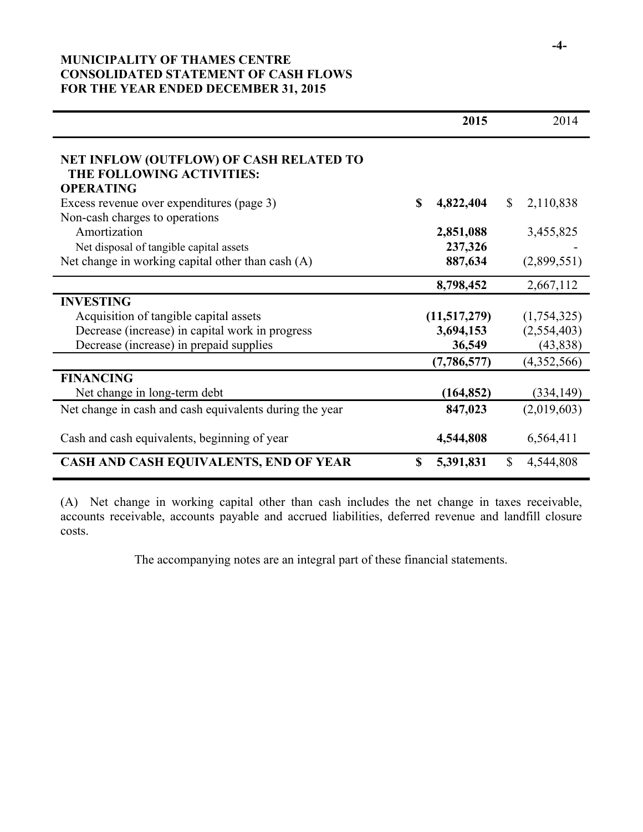# **MUNICIPALITY OF THAMES CENTRE CONSOLIDATED STATEMENT OF CASH FLOWS FOR THE YEAR ENDED DECEMBER 31, 2015**

|                                                                                          | 2015                       | 2014                      |
|------------------------------------------------------------------------------------------|----------------------------|---------------------------|
| NET INFLOW (OUTFLOW) OF CASH RELATED TO<br>THE FOLLOWING ACTIVITIES:<br><b>OPERATING</b> |                            |                           |
| Excess revenue over expenditures (page 3)                                                | <b>S</b><br>4,822,404      | 2,110,838<br>$\mathbb{S}$ |
| Non-cash charges to operations                                                           |                            |                           |
| Amortization                                                                             | 2,851,088                  | 3,455,825                 |
| Net disposal of tangible capital assets                                                  | 237,326                    |                           |
| Net change in working capital other than cash $(A)$                                      | 887,634                    | (2,899,551)               |
|                                                                                          | 8,798,452                  | 2,667,112                 |
| <b>INVESTING</b>                                                                         |                            |                           |
| Acquisition of tangible capital assets                                                   | (11,517,279)               | (1,754,325)               |
| Decrease (increase) in capital work in progress                                          | 3,694,153                  | (2,554,403)               |
| Decrease (increase) in prepaid supplies                                                  | 36,549                     | (43, 838)                 |
|                                                                                          | (7,786,577)                | (4,352,566)               |
| <b>FINANCING</b>                                                                         |                            |                           |
| Net change in long-term debt                                                             | (164, 852)                 | (334, 149)                |
| Net change in cash and cash equivalents during the year                                  | 847,023                    | (2,019,603)               |
| Cash and cash equivalents, beginning of year                                             | 4,544,808                  | 6,564,411                 |
| CASH AND CASH EQUIVALENTS, END OF YEAR                                                   | <sup>\$</sup><br>5,391,831 | $\mathbb{S}$<br>4,544,808 |

(A) Net change in working capital other than cash includes the net change in taxes receivable, accounts receivable, accounts payable and accrued liabilities, deferred revenue and landfill closure costs.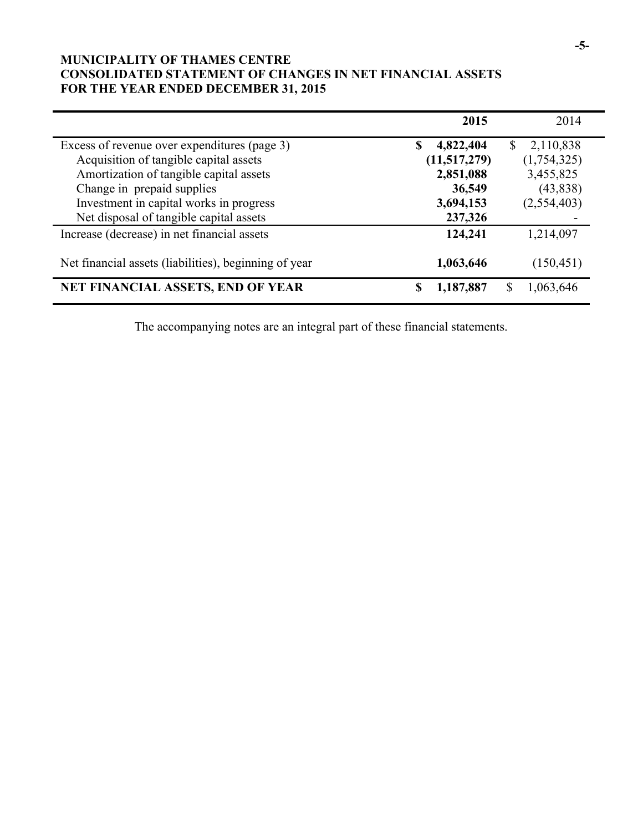# **MUNICIPALITY OF THAMES CENTRE CONSOLIDATED STATEMENT OF CHANGES IN NET FINANCIAL ASSETS FOR THE YEAR ENDED DECEMBER 31, 2015**

|                                                       | 2015            | 2014            |
|-------------------------------------------------------|-----------------|-----------------|
| Excess of revenue over expenditures (page 3)          | 4,822,404<br>\$ | 2,110,838<br>S. |
| Acquisition of tangible capital assets                | (11,517,279)    | (1,754,325)     |
| Amortization of tangible capital assets               | 2,851,088       | 3,455,825       |
| Change in prepaid supplies                            | 36,549          | (43, 838)       |
| Investment in capital works in progress               | 3,694,153       | (2,554,403)     |
| Net disposal of tangible capital assets               | 237,326         |                 |
| Increase (decrease) in net financial assets           | 124,241         | 1,214,097       |
| Net financial assets (liabilities), beginning of year | 1,063,646       | (150, 451)      |
| <b>NET FINANCIAL ASSETS, END OF YEAR</b>              | 1,187,887<br>\$ | \$<br>1,063,646 |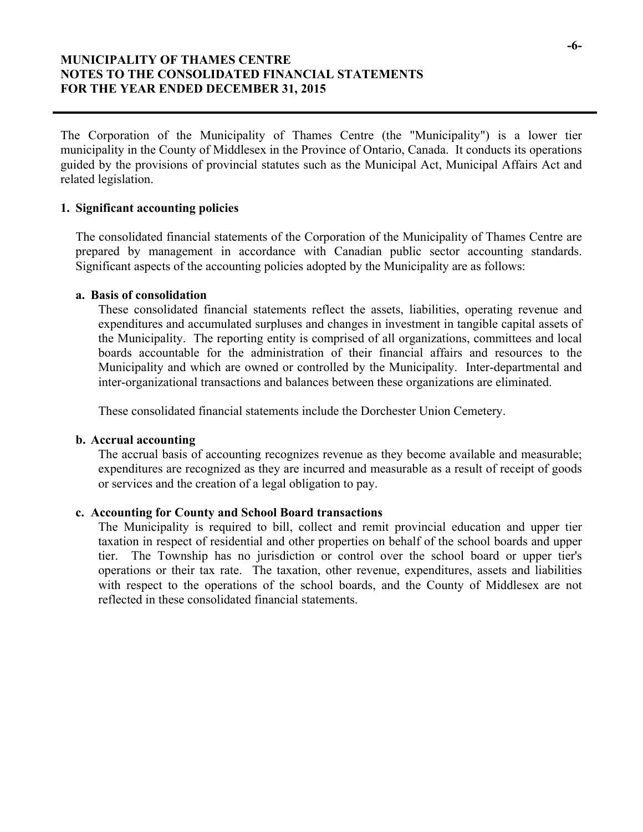## **MUNICIPALITY OF THAMES CENTRE NOTES TO THE CONSOLIDATED FINANCIAL STATEMENTS FOR THE YEAR ENDED DECEMBER 31, 2015**

The Corporation of the Municipality of Thames Centre (the "Municipality") is a lower tier municipality in the County of Middlesex in the Province of Ontario, Canada. It conducts its operations guided by the provisions of provincial statutes such as the Municipal Act, Municipal Affairs Act and related legislation.

## **1. Significant accounting policies**

The consolidated financial statements of the Corporation of the Municipality of Thames Centre are prepared by management in accordance with Canadian public sector accounting standards. Significant aspects of the accounting policies adopted by the Municipality are as follows:

## **a. Basis of consolidation**

These consolidated financial statements reflect the assets, liabilities, operating revenue and expenditures and accumulated surpluses and changes in investment in tangible capital assets of the Municipality. The reporting entity is comprised of all organizations, committees and local boards accountable for the administration of their financial affairs and resources to the Municipality and which are owned or controlled by the Municipality. Inter-departmental and inter-organizational transactions and balances between these organizations are eliminated.

These consolidated financial statements include the Dorchester Union Cemetery.

## **b. Accrual accounting**

The accrual basis of accounting recognizes revenue as they become available and measurable; expenditures are recognized as they are incurred and measurable as a result of receipt of goods or services and the creation of a legal obligation to pay.

### **c. Accounting for County and School Board transactions**

The Municipality is required to bill, collect and remit provincial education and upper tier taxation in respect of residential and other properties on behalf of the school boards and upper tier. The Township has no jurisdiction or control over the school board or upper tier's operations or their tax rate. The taxation, other revenue, expenditures, assets and liabilities with respect to the operations of the school boards, and the County of Middlesex are not reflected in these consolidated financial statements.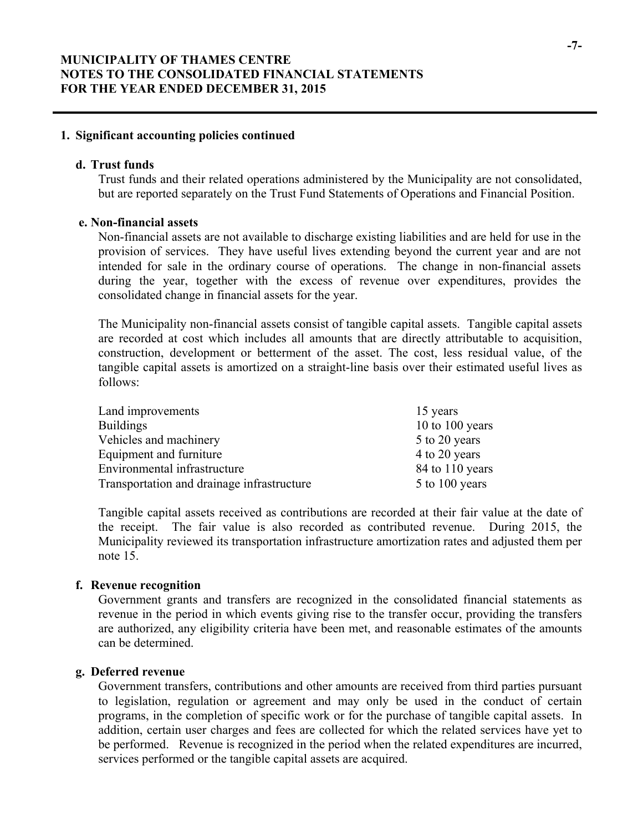### **1. Significant accounting policies continued**

### **d. Trust funds**

Trust funds and their related operations administered by the Municipality are not consolidated, but are reported separately on the Trust Fund Statements of Operations and Financial Position.

### **e. Non-financial assets**

Non-financial assets are not available to discharge existing liabilities and are held for use in the provision of services. They have useful lives extending beyond the current year and are not intended for sale in the ordinary course of operations. The change in non-financial assets during the year, together with the excess of revenue over expenditures, provides the consolidated change in financial assets for the year.

The Municipality non-financial assets consist of tangible capital assets. Tangible capital assets are recorded at cost which includes all amounts that are directly attributable to acquisition, construction, development or betterment of the asset. The cost, less residual value, of the tangible capital assets is amortized on a straight-line basis over their estimated useful lives as follows:

| Land improvements                          | 15 years        |
|--------------------------------------------|-----------------|
| <b>Buildings</b>                           | 10 to 100 years |
| Vehicles and machinery                     | 5 to 20 years   |
| Equipment and furniture                    | 4 to 20 years   |
| Environmental infrastructure               | 84 to 110 years |
| Transportation and drainage infrastructure | 5 to 100 years  |

Tangible capital assets received as contributions are recorded at their fair value at the date of the receipt. The fair value is also recorded as contributed revenue. During 2015, the Municipality reviewed its transportation infrastructure amortization rates and adjusted them per note 15.

### **f. Revenue recognition**

Government grants and transfers are recognized in the consolidated financial statements as revenue in the period in which events giving rise to the transfer occur, providing the transfers are authorized, any eligibility criteria have been met, and reasonable estimates of the amounts can be determined.

### **g. Deferred revenue**

Government transfers, contributions and other amounts are received from third parties pursuant to legislation, regulation or agreement and may only be used in the conduct of certain programs, in the completion of specific work or for the purchase of tangible capital assets. In addition, certain user charges and fees are collected for which the related services have yet to be performed. Revenue is recognized in the period when the related expenditures are incurred, services performed or the tangible capital assets are acquired.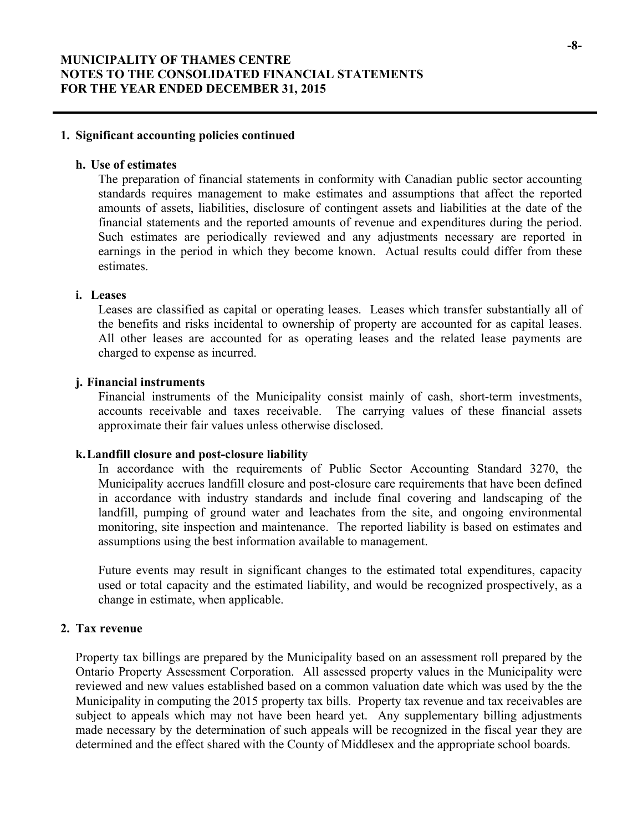### **1. Significant accounting policies continued**

### **h. Use of estimates**

The preparation of financial statements in conformity with Canadian public sector accounting standards requires management to make estimates and assumptions that affect the reported amounts of assets, liabilities, disclosure of contingent assets and liabilities at the date of the financial statements and the reported amounts of revenue and expenditures during the period. Such estimates are periodically reviewed and any adjustments necessary are reported in earnings in the period in which they become known. Actual results could differ from these estimates.

### **i. Leases**

Leases are classified as capital or operating leases. Leases which transfer substantially all of the benefits and risks incidental to ownership of property are accounted for as capital leases. All other leases are accounted for as operating leases and the related lease payments are charged to expense as incurred.

#### **j. Financial instruments**

Financial instruments of the Municipality consist mainly of cash, short-term investments, accounts receivable and taxes receivable. The carrying values of these financial assets approximate their fair values unless otherwise disclosed.

#### **k.Landfill closure and post-closure liability**

In accordance with the requirements of Public Sector Accounting Standard 3270, the Municipality accrues landfill closure and post-closure care requirements that have been defined in accordance with industry standards and include final covering and landscaping of the landfill, pumping of ground water and leachates from the site, and ongoing environmental monitoring, site inspection and maintenance. The reported liability is based on estimates and assumptions using the best information available to management.

Future events may result in significant changes to the estimated total expenditures, capacity used or total capacity and the estimated liability, and would be recognized prospectively, as a change in estimate, when applicable.

### **2. Tax revenue**

Property tax billings are prepared by the Municipality based on an assessment roll prepared by the Ontario Property Assessment Corporation. All assessed property values in the Municipality were reviewed and new values established based on a common valuation date which was used by the the Municipality in computing the 2015 property tax bills. Property tax revenue and tax receivables are subject to appeals which may not have been heard yet. Any supplementary billing adjustments made necessary by the determination of such appeals will be recognized in the fiscal year they are determined and the effect shared with the County of Middlesex and the appropriate school boards.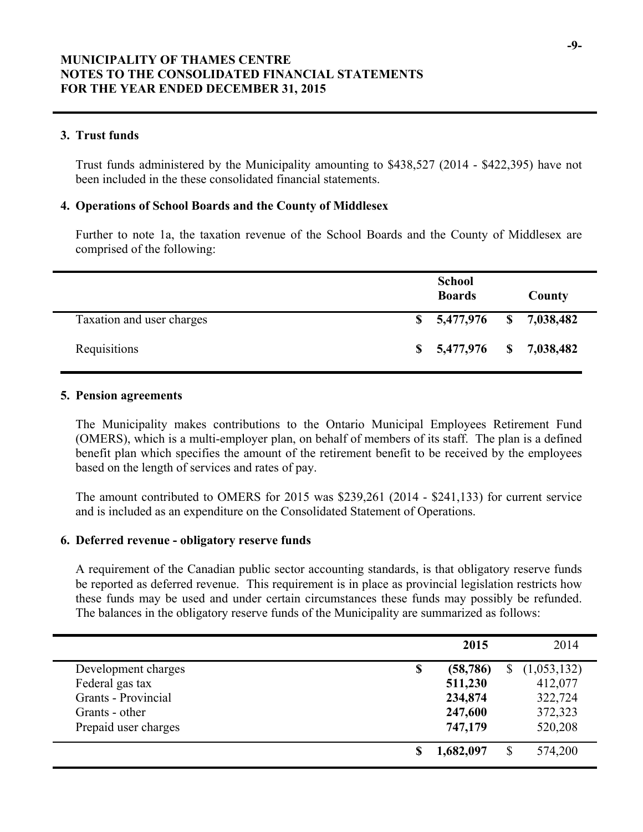## **3. Trust funds**

Trust funds administered by the Municipality amounting to \$438,527 (2014 - \$422,395) have not been included in the these consolidated financial statements.

## **4. Operations of School Boards and the County of Middlesex**

Further to note 1a, the taxation revenue of the School Boards and the County of Middlesex are comprised of the following:

|                           | <b>School</b><br><b>Boards</b> | County |
|---------------------------|--------------------------------|--------|
| Taxation and user charges | $$5,477,976$ $$7,038,482$      |        |
| Requisitions              | $$5,477,976$ $$7,038,482$      |        |

## **5. Pension agreements**

The Municipality makes contributions to the Ontario Municipal Employees Retirement Fund (OMERS), which is a multi-employer plan, on behalf of members of its staff. The plan is a defined benefit plan which specifies the amount of the retirement benefit to be received by the employees based on the length of services and rates of pay.

The amount contributed to OMERS for 2015 was \$239,261 (2014 - \$241,133) for current service and is included as an expenditure on the Consolidated Statement of Operations.

## **6. Deferred revenue - obligatory reserve funds**

A requirement of the Canadian public sector accounting standards, is that obligatory reserve funds be reported as deferred revenue. This requirement is in place as provincial legislation restricts how these funds may be used and under certain circumstances these funds may possibly be refunded. The balances in the obligatory reserve funds of the Municipality are summarized as follows:

|                      | 2015            | 2014        |
|----------------------|-----------------|-------------|
| Development charges  | \$<br>(58, 786) | (1,053,132) |
| Federal gas tax      | 511,230         | 412,077     |
| Grants - Provincial  | 234,874         | 322,724     |
| Grants - other       | 247,600         | 372,323     |
| Prepaid user charges | 747,179         | 520,208     |
|                      | 1,682,097       | 574,200     |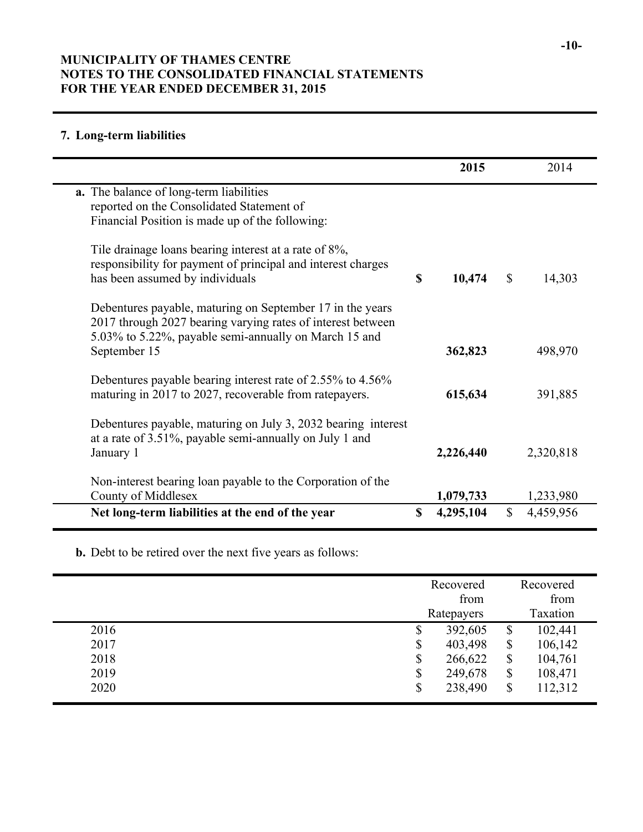# **MUNICIPALITY OF THAMES CENTRE NOTES TO THE CONSOLIDATED FINANCIAL STATEMENTS FOR THE YEAR ENDED DECEMBER 31, 2015**

# **7. Long-term liabilities**

|                                                               | 2015            |              | 2014      |  |
|---------------------------------------------------------------|-----------------|--------------|-----------|--|
| a. The balance of long-term liabilities                       |                 |              |           |  |
| reported on the Consolidated Statement of                     |                 |              |           |  |
| Financial Position is made up of the following:               |                 |              |           |  |
| Tile drainage loans bearing interest at a rate of 8%,         |                 |              |           |  |
| responsibility for payment of principal and interest charges  |                 |              |           |  |
| has been assumed by individuals                               | \$<br>10,474    | \$           | 14,303    |  |
| Debentures payable, maturing on September 17 in the years     |                 |              |           |  |
| 2017 through 2027 bearing varying rates of interest between   |                 |              |           |  |
| 5.03% to 5.22%, payable semi-annually on March 15 and         |                 |              |           |  |
| September 15                                                  | 362,823         |              | 498,970   |  |
| Debentures payable bearing interest rate of 2.55% to 4.56%    |                 |              |           |  |
| maturing in 2017 to 2027, recoverable from ratepayers.        | 615,634         |              | 391,885   |  |
| Debentures payable, maturing on July 3, 2032 bearing interest |                 |              |           |  |
| at a rate of 3.51%, payable semi-annually on July 1 and       |                 |              |           |  |
| January 1                                                     | 2,226,440       |              | 2,320,818 |  |
| Non-interest bearing loan payable to the Corporation of the   |                 |              |           |  |
| <b>County of Middlesex</b>                                    | 1,079,733       |              | 1,233,980 |  |
| Net long-term liabilities at the end of the year              | \$<br>4,295,104 | $\mathbb{S}$ | 4,459,956 |  |
|                                                               |                 |              |           |  |

**b.** Debt to be retired over the next five years as follows:

|      | Recovered<br>from |                           | Recovered<br>from |  |
|------|-------------------|---------------------------|-------------------|--|
|      | Ratepayers        |                           | Taxation          |  |
| 2016 | 392,605<br>\$     | \$                        | 102,441           |  |
| 2017 | 403,498<br>\$     | \$                        | 106,142           |  |
| 2018 | \$<br>266,622     | $\boldsymbol{\mathsf{S}}$ | 104,761           |  |
| 2019 | \$<br>249,678     | \$                        | 108,471           |  |
| 2020 | \$<br>238,490     | \$                        | 112,312           |  |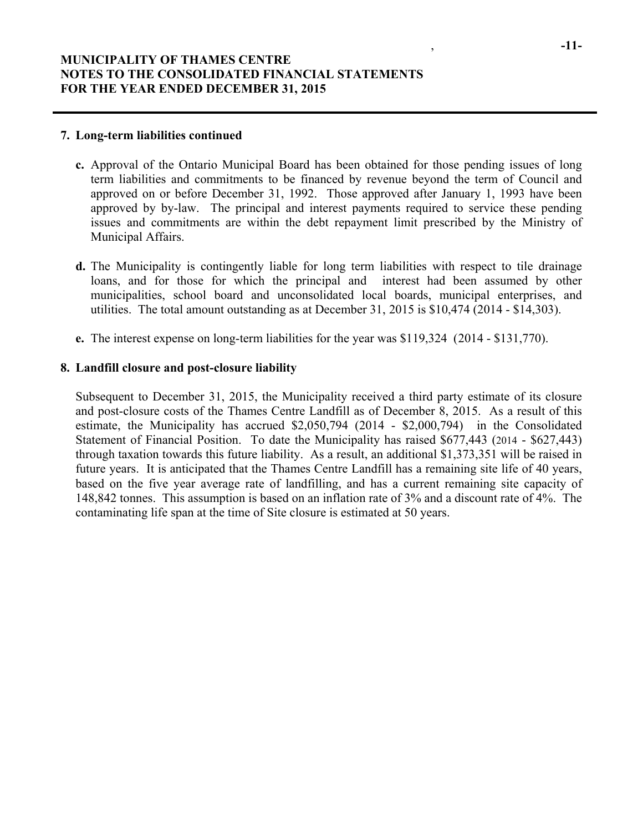#### **7. Long-term liabilities continued**

- **c.** Approval of the Ontario Municipal Board has been obtained for those pending issues of long term liabilities and commitments to be financed by revenue beyond the term of Council and approved on or before December 31, 1992. Those approved after January 1, 1993 have been approved by by-law. The principal and interest payments required to service these pending issues and commitments are within the debt repayment limit prescribed by the Ministry of Municipal Affairs.
- **d.** The Municipality is contingently liable for long term liabilities with respect to tile drainage loans, and for those for which the principal and interest had been assumed by other municipalities, school board and unconsolidated local boards, municipal enterprises, and utilities. The total amount outstanding as at December 31, 2015 is \$10,474 (2014 - \$14,303).
- **e.** The interest expense on long-term liabilities for the year was \$119,324 (2014 \$131,770).

## **8. Landfill closure and post-closure liability**

Subsequent to December 31, 2015, the Municipality received a third party estimate of its closure and post-closure costs of the Thames Centre Landfill as of December 8, 2015. As a result of this estimate, the Municipality has accrued \$2,050,794 (2014 - \$2,000,794) in the Consolidated Statement of Financial Position. To date the Municipality has raised \$677,443 (2014 - \$627,443) through taxation towards this future liability. As a result, an additional \$1,373,351 will be raised in future years. It is anticipated that the Thames Centre Landfill has a remaining site life of 40 years, based on the five year average rate of landfilling, and has a current remaining site capacity of 148,842 tonnes. This assumption is based on an inflation rate of 3% and a discount rate of 4%. The contaminating life span at the time of Site closure is estimated at 50 years.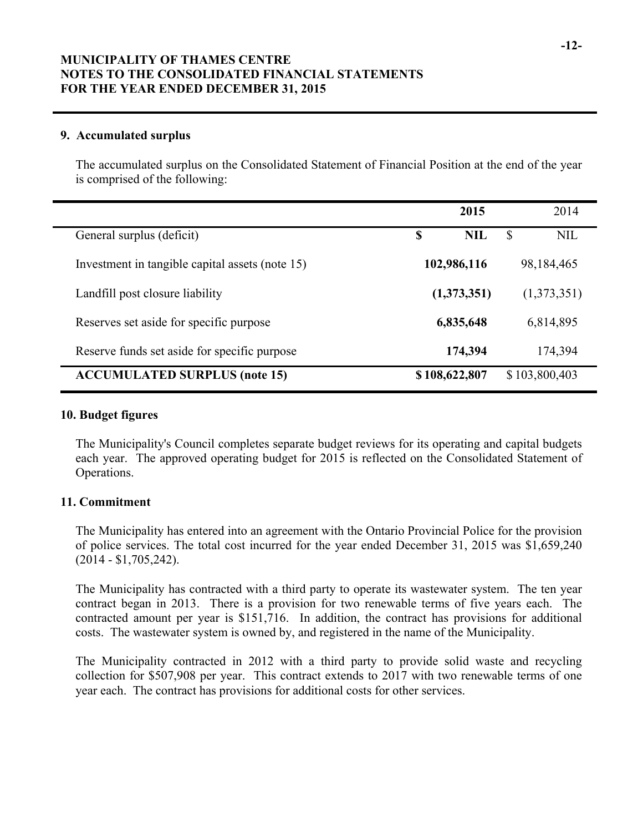# **MUNICIPALITY OF THAMES CENTRE NOTES TO THE CONSOLIDATED FINANCIAL STATEMENTS FOR THE YEAR ENDED DECEMBER 31, 2015**

## **9. Accumulated surplus**

The accumulated surplus on the Consolidated Statement of Financial Position at the end of the year is comprised of the following:

|                                                 | 2015             | 2014             |  |
|-------------------------------------------------|------------------|------------------|--|
| General surplus (deficit)                       | \$<br><b>NIL</b> | <b>NIL</b><br>\$ |  |
| Investment in tangible capital assets (note 15) | 102,986,116      | 98,184,465       |  |
| Landfill post closure liability                 | (1,373,351)      | (1,373,351)      |  |
| Reserves set aside for specific purpose         | 6,835,648        | 6,814,895        |  |
| Reserve funds set aside for specific purpose    | 174,394          | 174,394          |  |
| <b>ACCUMULATED SURPLUS (note 15)</b>            | \$108,622,807    | \$103,800,403    |  |

## **10. Budget figures**

The Municipality's Council completes separate budget reviews for its operating and capital budgets each year. The approved operating budget for 2015 is reflected on the Consolidated Statement of Operations.

## **11. Commitment**

The Municipality has entered into an agreement with the Ontario Provincial Police for the provision of police services. The total cost incurred for the year ended December 31, 2015 was \$1,659,240 (2014 - \$1,705,242).

The Municipality has contracted with a third party to operate its wastewater system. The ten year contract began in 2013. There is a provision for two renewable terms of five years each. The contracted amount per year is \$151,716. In addition, the contract has provisions for additional costs. The wastewater system is owned by, and registered in the name of the Municipality.

The Municipality contracted in 2012 with a third party to provide solid waste and recycling collection for \$507,908 per year. This contract extends to 2017 with two renewable terms of one year each. The contract has provisions for additional costs for other services.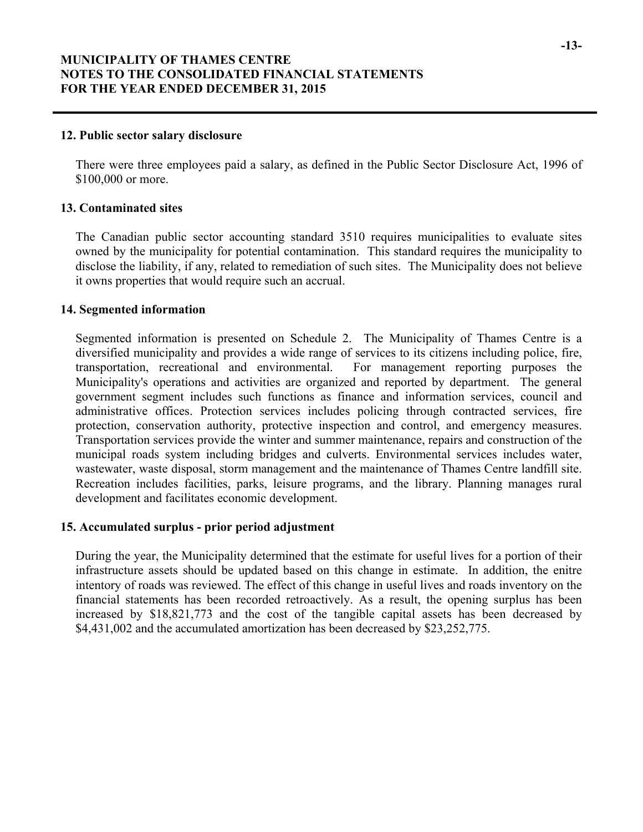#### **12. Public sector salary disclosure**

There were three employees paid a salary, as defined in the Public Sector Disclosure Act, 1996 of \$100,000 or more.

### **13. Contaminated sites**

The Canadian public sector accounting standard 3510 requires municipalities to evaluate sites owned by the municipality for potential contamination. This standard requires the municipality to disclose the liability, if any, related to remediation of such sites. The Municipality does not believe it owns properties that would require such an accrual.

## **14. Segmented information**

Segmented information is presented on Schedule 2. The Municipality of Thames Centre is a diversified municipality and provides a wide range of services to its citizens including police, fire, transportation, recreational and environmental. For management reporting purposes the Municipality's operations and activities are organized and reported by department. The general government segment includes such functions as finance and information services, council and administrative offices. Protection services includes policing through contracted services, fire protection, conservation authority, protective inspection and control, and emergency measures. Transportation services provide the winter and summer maintenance, repairs and construction of the municipal roads system including bridges and culverts. Environmental services includes water, wastewater, waste disposal, storm management and the maintenance of Thames Centre landfill site. Recreation includes facilities, parks, leisure programs, and the library. Planning manages rural development and facilitates economic development.

### **15. Accumulated surplus - prior period adjustment**

During the year, the Municipality determined that the estimate for useful lives for a portion of their infrastructure assets should be updated based on this change in estimate. In addition, the enitre intentory of roads was reviewed. The effect of this change in useful lives and roads inventory on the financial statements has been recorded retroactively. As a result, the opening surplus has been increased by \$18,821,773 and the cost of the tangible capital assets has been decreased by \$4,431,002 and the accumulated amortization has been decreased by \$23,252,775.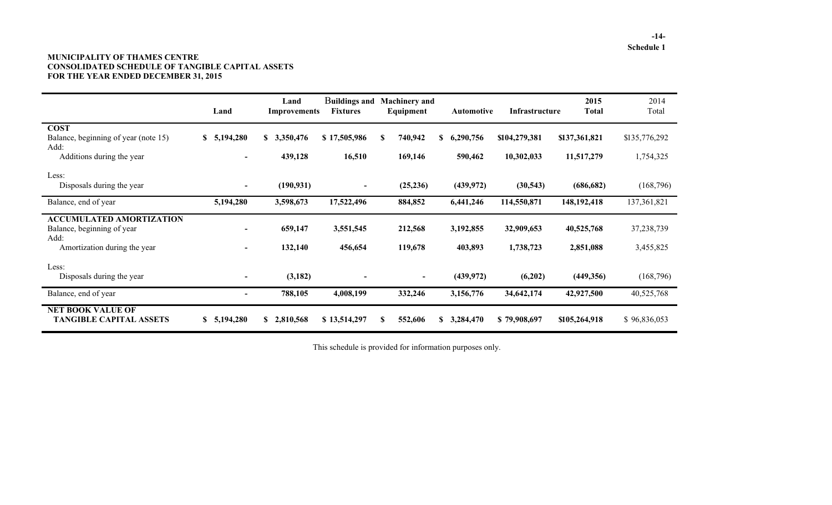#### **MUNICIPALITY OF THAMES CENTRE CONSOLIDATED SCHEDULE OF TANGIBLE CAPITAL ASSETS FOR THE YEAR ENDED DECEMBER 31, 2015**

|                                                                       | Land                     | Land<br><b>Improvements</b> | Buildings and<br><b>Fixtures</b> | <b>Machinery and</b><br>Equipment | <b>Automotive</b> | Infrastructure | 2015<br><b>Total</b> | 2014<br>Total |
|-----------------------------------------------------------------------|--------------------------|-----------------------------|----------------------------------|-----------------------------------|-------------------|----------------|----------------------|---------------|
| <b>COST</b><br>Balance, beginning of year (note 15)<br>Add:           | \$5,194,280              | S.<br>3,350,476             | \$17,505,986                     | S<br>740,942                      | 6,290,756<br>S    | \$104,279,381  | \$137,361,821        | \$135,776,292 |
| Additions during the year                                             | $\overline{\phantom{0}}$ | 439,128                     | 16,510                           | 169,146                           | 590,462           | 10,302,033     | 11,517,279           | 1,754,325     |
| Less:<br>Disposals during the year                                    | $\overline{\phantom{a}}$ | (190, 931)                  | $\overline{\phantom{a}}$         | (25, 236)                         | (439, 972)        | (30, 543)      | (686, 682)           | (168,796)     |
| Balance, end of year                                                  | 5,194,280                | 3,598,673                   | 17,522,496                       | 884,852                           | 6,441,246         | 114,550,871    | 148,192,418          | 137, 361, 821 |
| <b>ACCUMULATED AMORTIZATION</b><br>Balance, beginning of year<br>Add: |                          | 659,147                     | 3,551,545                        | 212,568                           | 3,192,855         | 32,909,653     | 40,525,768           | 37,238,739    |
| Amortization during the year                                          |                          | 132,140                     | 456,654                          | 119,678                           | 403,893           | 1,738,723      | 2,851,088            | 3,455,825     |
| Less:<br>Disposals during the year                                    |                          | (3,182)                     |                                  | $\overline{\phantom{a}}$          | (439, 972)        | (6,202)        | (449,356)            | (168, 796)    |
| Balance, end of year                                                  |                          | 788,105                     | 4,008,199                        | 332,246                           | 3,156,776         | 34,642,174     | 42,927,500           | 40,525,768    |
| <b>NET BOOK VALUE OF</b><br><b>TANGIBLE CAPITAL ASSETS</b>            | \$5,194,280              | \$2,810,568                 | \$13,514,297                     | S<br>552,606                      | 3,284,470<br>S.   | \$79,908,697   | \$105,264,918        | \$96,836,053  |

This schedule is provided for information purposes only.